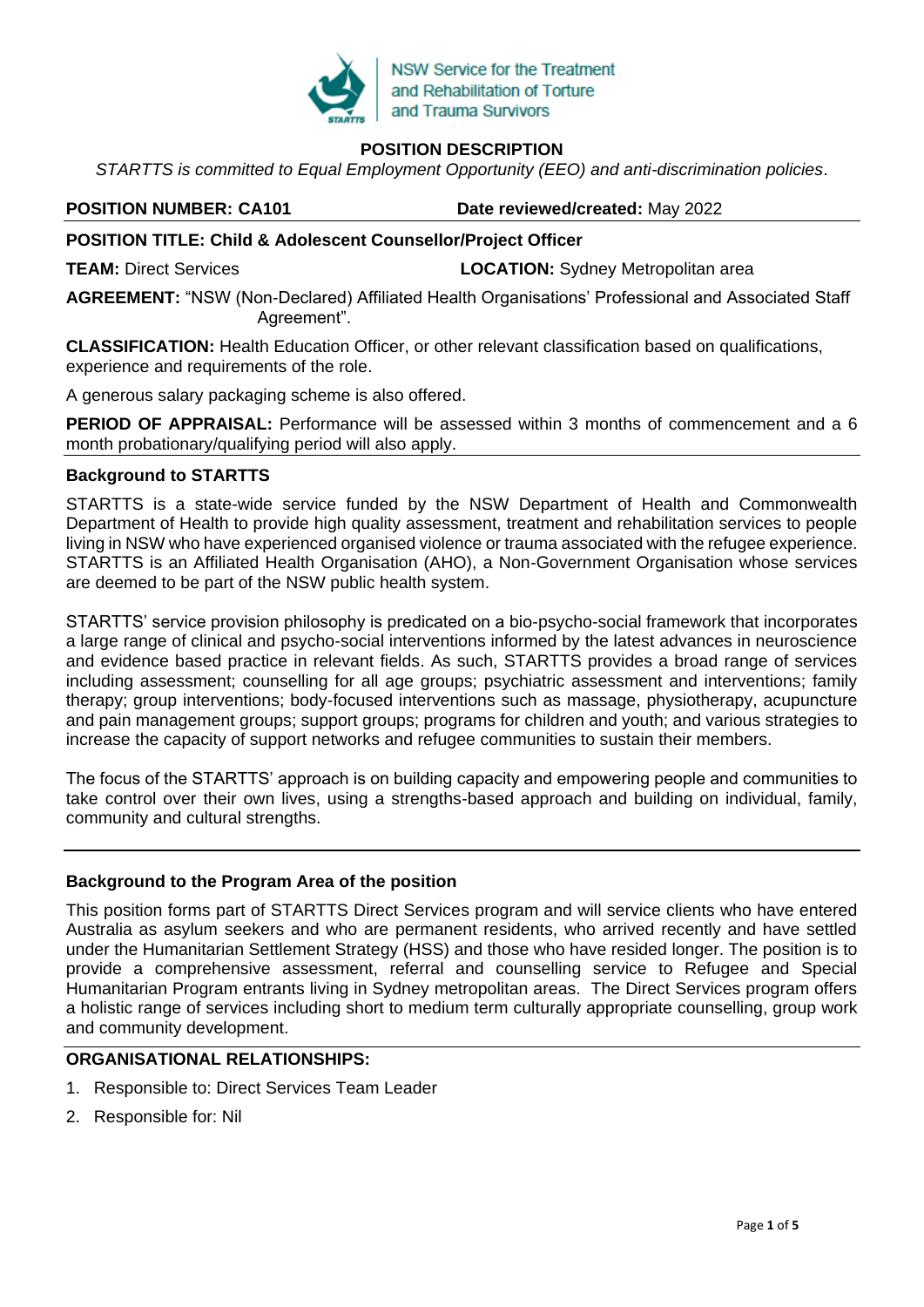

# **POSITION DESCRIPTION**

*STARTTS is committed to Equal Employment Opportunity (EEO) and anti-discrimination policies*.

**POSITION NUMBER: CA101 Date reviewed/created:** May 2022

# **POSITION TITLE: Child & Adolescent Counsellor/Project Officer**

**TEAM:** Direct Services **LOCATION:** Sydney Metropolitan area

**AGREEMENT:** "NSW (Non-Declared) Affiliated Health Organisations' Professional and Associated Staff Agreement".

**CLASSIFICATION:** Health Education Officer, or other relevant classification based on qualifications, experience and requirements of the role.

A generous salary packaging scheme is also offered.

**PERIOD OF APPRAISAL:** Performance will be assessed within 3 months of commencement and a 6 month probationary/qualifying period will also apply.

## **Background to STARTTS**

STARTTS is a state-wide service funded by the NSW Department of Health and Commonwealth Department of Health to provide high quality assessment, treatment and rehabilitation services to people living in NSW who have experienced organised violence or trauma associated with the refugee experience. STARTTS is an Affiliated Health Organisation (AHO), a Non-Government Organisation whose services are deemed to be part of the NSW public health system.

STARTTS' service provision philosophy is predicated on a bio-psycho-social framework that incorporates a large range of clinical and psycho-social interventions informed by the latest advances in neuroscience and evidence based practice in relevant fields. As such, STARTTS provides a broad range of services including assessment; counselling for all age groups; psychiatric assessment and interventions; family therapy; group interventions; body-focused interventions such as massage, physiotherapy, acupuncture and pain management groups; support groups; programs for children and youth; and various strategies to increase the capacity of support networks and refugee communities to sustain their members.

The focus of the STARTTS' approach is on building capacity and empowering people and communities to take control over their own lives, using a strengths-based approach and building on individual, family, community and cultural strengths.

# **Background to the Program Area of the position**

This position forms part of STARTTS Direct Services program and will service clients who have entered Australia as asylum seekers and who are permanent residents, who arrived recently and have settled under the Humanitarian Settlement Strategy (HSS) and those who have resided longer. The position is to provide a comprehensive assessment, referral and counselling service to Refugee and Special Humanitarian Program entrants living in Sydney metropolitan areas. The Direct Services program offers a holistic range of services including short to medium term culturally appropriate counselling, group work and community development.

# **ORGANISATIONAL RELATIONSHIPS:**

- 1. Responsible to: Direct Services Team Leader
- 2. Responsible for: Nil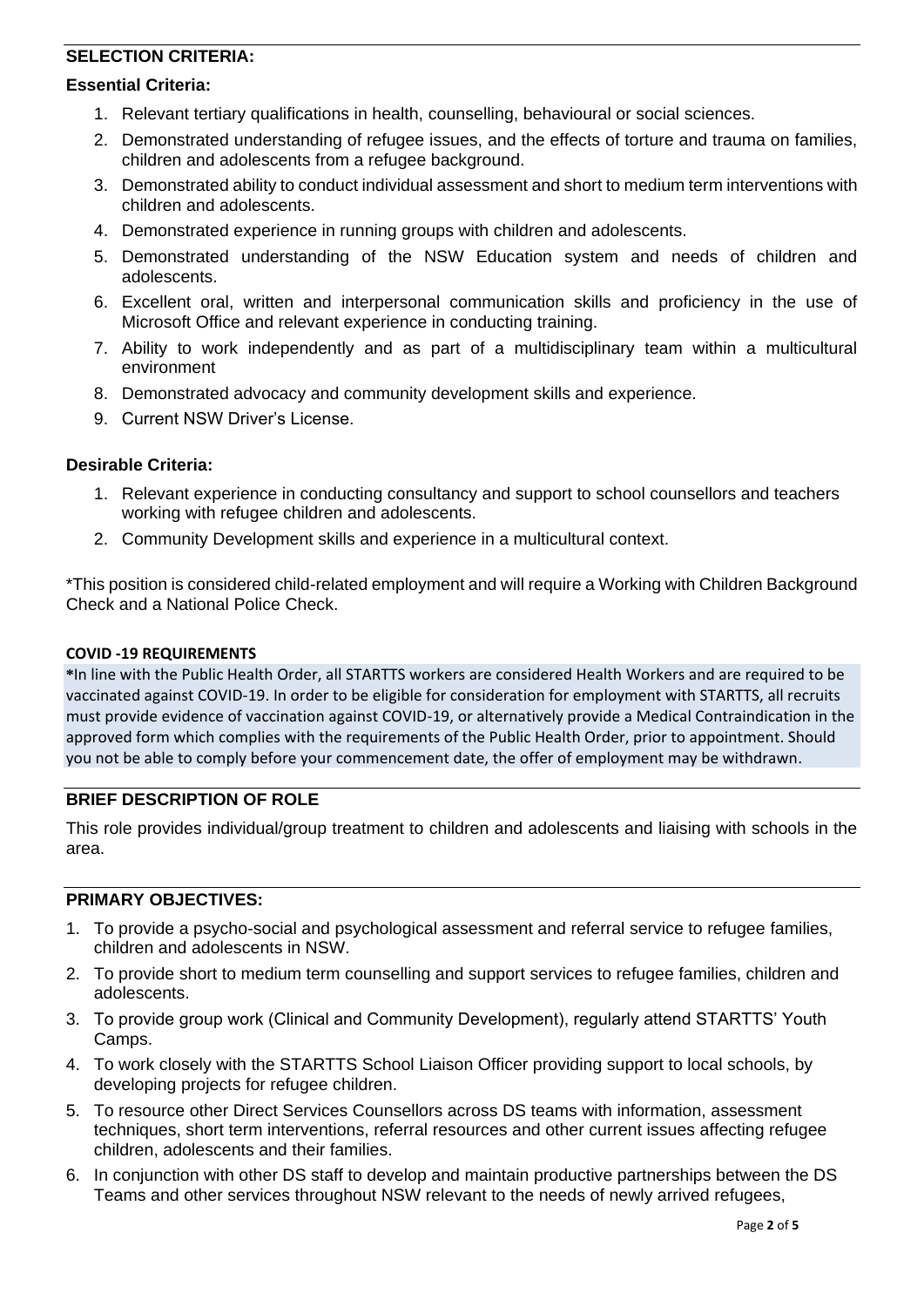# **SELECTION CRITERIA:**

#### **Essential Criteria:**

- 1. Relevant tertiary qualifications in health, counselling, behavioural or social sciences.
- 2. Demonstrated understanding of refugee issues, and the effects of torture and trauma on families, children and adolescents from a refugee background.
- 3. Demonstrated ability to conduct individual assessment and short to medium term interventions with children and adolescents.
- 4. Demonstrated experience in running groups with children and adolescents.
- 5. Demonstrated understanding of the NSW Education system and needs of children and adolescents.
- 6. Excellent oral, written and interpersonal communication skills and proficiency in the use of Microsoft Office and relevant experience in conducting training.
- 7. Ability to work independently and as part of a multidisciplinary team within a multicultural environment
- 8. Demonstrated advocacy and community development skills and experience.
- 9. Current NSW Driver's License.

#### **Desirable Criteria:**

- 1. Relevant experience in conducting consultancy and support to school counsellors and teachers working with refugee children and adolescents.
- 2. Community Development skills and experience in a multicultural context.

\*This position is considered child-related employment and will require a Working with Children Background Check and a National Police Check.

#### **COVID -19 REQUIREMENTS**

**\***In line with the Public Health Order, all STARTTS workers are considered Health Workers and are required to be vaccinated against COVID-19. In order to be eligible for consideration for employment with STARTTS, all recruits must provide evidence of vaccination against COVID-19, or alternatively provide a Medical Contraindication in the approved form which complies with the requirements of the Public Health Order, prior to appointment. Should you not be able to comply before your commencement date, the offer of employment may be withdrawn.

## **BRIEF DESCRIPTION OF ROLE**

This role provides individual/group treatment to children and adolescents and liaising with schools in the area.

## **PRIMARY OBJECTIVES:**

- 1. To provide a psycho-social and psychological assessment and referral service to refugee families, children and adolescents in NSW.
- 2. To provide short to medium term counselling and support services to refugee families, children and adolescents.
- 3. To provide group work (Clinical and Community Development), regularly attend STARTTS' Youth Camps.
- 4. To work closely with the STARTTS School Liaison Officer providing support to local schools, by developing projects for refugee children.
- 5. To resource other Direct Services Counsellors across DS teams with information, assessment techniques, short term interventions, referral resources and other current issues affecting refugee children, adolescents and their families.
- 6. In conjunction with other DS staff to develop and maintain productive partnerships between the DS Teams and other services throughout NSW relevant to the needs of newly arrived refugees,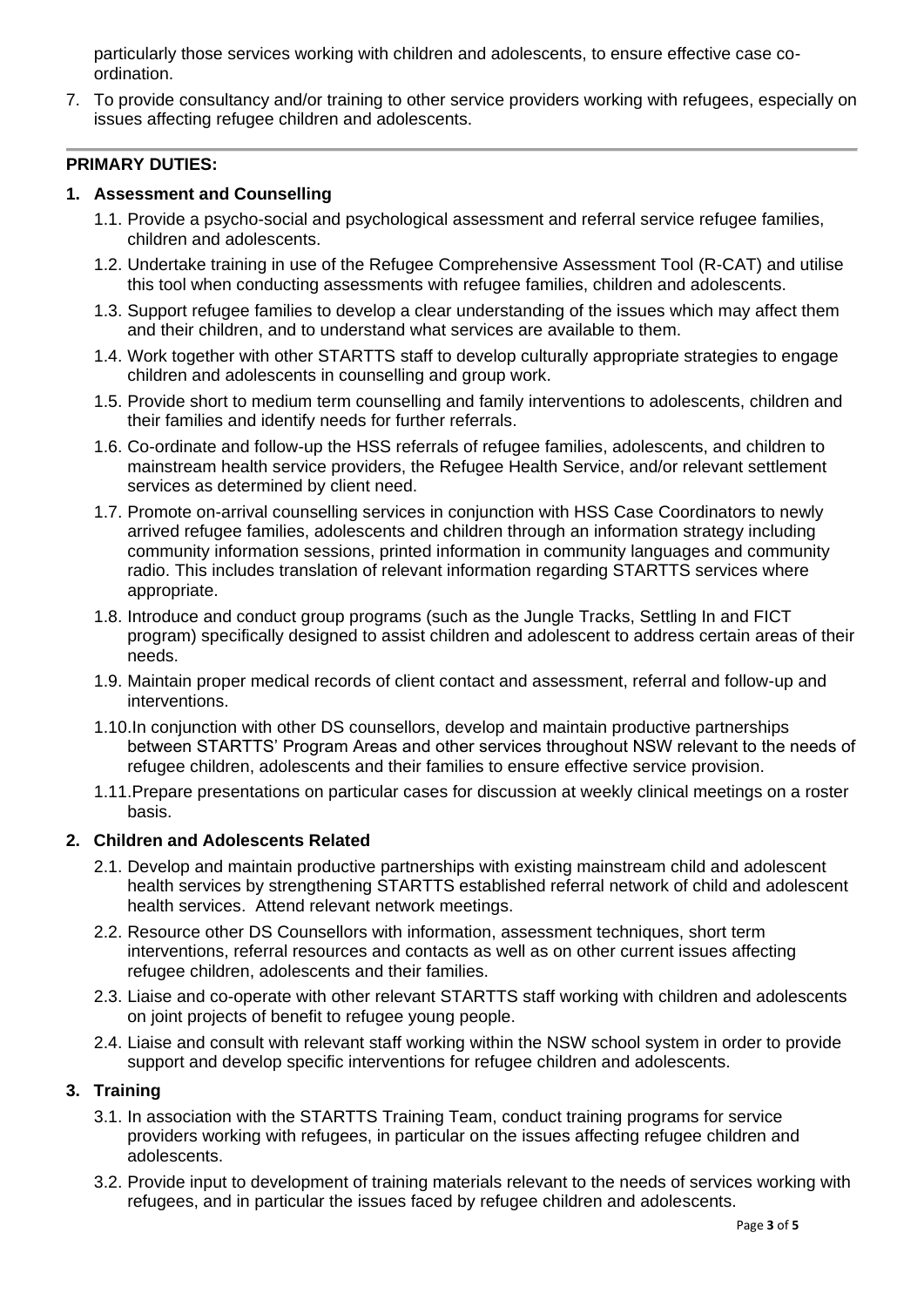particularly those services working with children and adolescents, to ensure effective case coordination.

7. To provide consultancy and/or training to other service providers working with refugees, especially on issues affecting refugee children and adolescents.

## **PRIMARY DUTIES:**

## **1. Assessment and Counselling**

- 1.1. Provide a psycho-social and psychological assessment and referral service refugee families, children and adolescents.
- 1.2. Undertake training in use of the Refugee Comprehensive Assessment Tool (R-CAT) and utilise this tool when conducting assessments with refugee families, children and adolescents.
- 1.3. Support refugee families to develop a clear understanding of the issues which may affect them and their children, and to understand what services are available to them.
- 1.4. Work together with other STARTTS staff to develop culturally appropriate strategies to engage children and adolescents in counselling and group work.
- 1.5. Provide short to medium term counselling and family interventions to adolescents, children and their families and identify needs for further referrals.
- 1.6. Co-ordinate and follow-up the HSS referrals of refugee families, adolescents, and children to mainstream health service providers, the Refugee Health Service, and/or relevant settlement services as determined by client need.
- 1.7. Promote on-arrival counselling services in conjunction with HSS Case Coordinators to newly arrived refugee families, adolescents and children through an information strategy including community information sessions, printed information in community languages and community radio. This includes translation of relevant information regarding STARTTS services where appropriate.
- 1.8. Introduce and conduct group programs (such as the Jungle Tracks, Settling In and FICT program) specifically designed to assist children and adolescent to address certain areas of their needs.
- 1.9. Maintain proper medical records of client contact and assessment, referral and follow-up and interventions.
- 1.10.In conjunction with other DS counsellors, develop and maintain productive partnerships between STARTTS' Program Areas and other services throughout NSW relevant to the needs of refugee children, adolescents and their families to ensure effective service provision.
- 1.11.Prepare presentations on particular cases for discussion at weekly clinical meetings on a roster basis.

# **2. Children and Adolescents Related**

- 2.1. Develop and maintain productive partnerships with existing mainstream child and adolescent health services by strengthening STARTTS established referral network of child and adolescent health services. Attend relevant network meetings.
- 2.2. Resource other DS Counsellors with information, assessment techniques, short term interventions, referral resources and contacts as well as on other current issues affecting refugee children, adolescents and their families.
- 2.3. Liaise and co-operate with other relevant STARTTS staff working with children and adolescents on joint projects of benefit to refugee young people.
- 2.4. Liaise and consult with relevant staff working within the NSW school system in order to provide support and develop specific interventions for refugee children and adolescents.

# **3. Training**

- 3.1. In association with the STARTTS Training Team, conduct training programs for service providers working with refugees, in particular on the issues affecting refugee children and adolescents.
- 3.2. Provide input to development of training materials relevant to the needs of services working with refugees, and in particular the issues faced by refugee children and adolescents.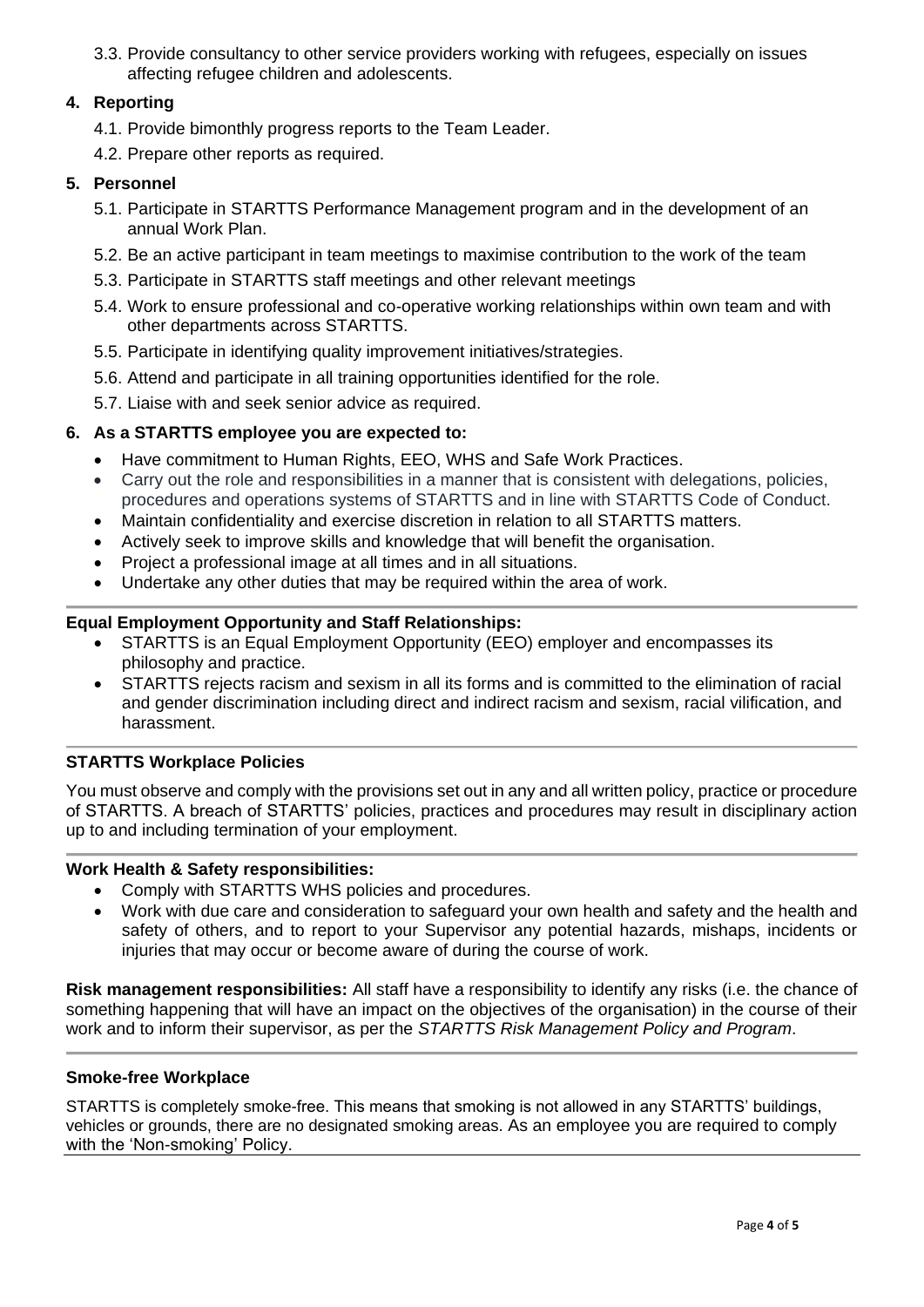3.3. Provide consultancy to other service providers working with refugees, especially on issues affecting refugee children and adolescents.

# **4. Reporting**

- 4.1. Provide bimonthly progress reports to the Team Leader.
- 4.2. Prepare other reports as required.

## **5. Personnel**

- 5.1. Participate in STARTTS Performance Management program and in the development of an annual Work Plan.
- 5.2. Be an active participant in team meetings to maximise contribution to the work of the team
- 5.3. Participate in STARTTS staff meetings and other relevant meetings
- 5.4. Work to ensure professional and co-operative working relationships within own team and with other departments across STARTTS.
- 5.5. Participate in identifying quality improvement initiatives/strategies.
- 5.6. Attend and participate in all training opportunities identified for the role.
- 5.7. Liaise with and seek senior advice as required.

# **6. As a STARTTS employee you are expected to:**

- Have commitment to Human Rights, EEO, WHS and Safe Work Practices.
- Carry out the role and responsibilities in a manner that is consistent with delegations, policies, procedures and operations systems of STARTTS and in line with STARTTS Code of Conduct.
- Maintain confidentiality and exercise discretion in relation to all STARTTS matters.
- Actively seek to improve skills and knowledge that will benefit the organisation.
- Project a professional image at all times and in all situations.
- Undertake any other duties that may be required within the area of work.

## **Equal Employment Opportunity and Staff Relationships:**

- STARTTS is an Equal Employment Opportunity (EEO) employer and encompasses its philosophy and practice.
- STARTTS rejects racism and sexism in all its forms and is committed to the elimination of racial and gender discrimination including direct and indirect racism and sexism, racial vilification, and harassment.

# **STARTTS Workplace Policies**

You must observe and comply with the provisions set out in any and all written policy, practice or procedure of STARTTS. A breach of STARTTS' policies, practices and procedures may result in disciplinary action up to and including termination of your employment.

#### **Work Health & Safety responsibilities:**

- Comply with STARTTS WHS policies and procedures.
- Work with due care and consideration to safeguard your own health and safety and the health and safety of others, and to report to your Supervisor any potential hazards, mishaps, incidents or injuries that may occur or become aware of during the course of work.

**Risk management responsibilities:** All staff have a responsibility to identify any risks (i.e. the chance of something happening that will have an impact on the objectives of the organisation) in the course of their work and to inform their supervisor, as per the *STARTTS Risk Management Policy and Program*.

#### **Smoke-free Workplace**

STARTTS is completely smoke-free. This means that smoking is not allowed in any STARTTS' buildings, vehicles or grounds, there are no designated smoking areas. As an employee you are required to comply with the 'Non-smoking' Policy.